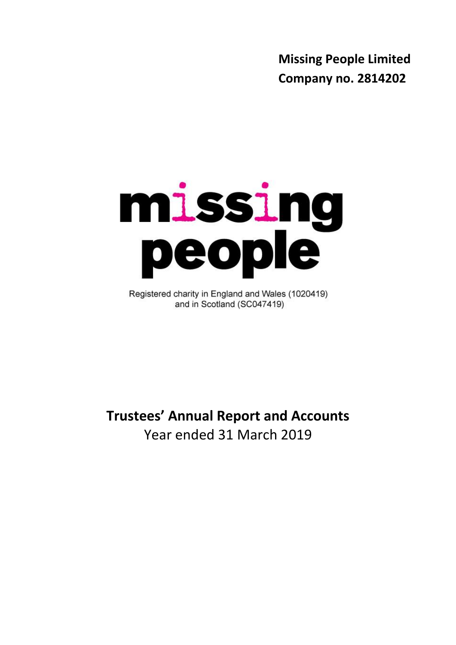**Missing People Limited Company no. 2814202**



Registered charity in England and Wales (1020419) and in Scotland (SC047419)

**Trustees' Annual Report and Accounts** Year ended 31 March 2019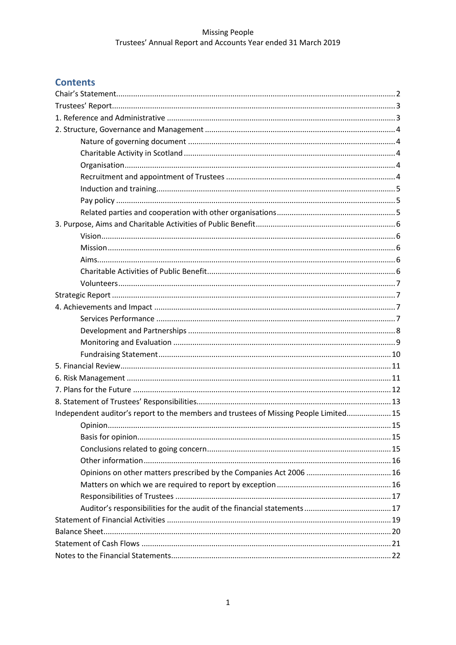# **Contents**

| Independent auditor's report to the members and trustees of Missing People Limited 15 |  |
|---------------------------------------------------------------------------------------|--|
|                                                                                       |  |
|                                                                                       |  |
|                                                                                       |  |
|                                                                                       |  |
|                                                                                       |  |
|                                                                                       |  |
|                                                                                       |  |
|                                                                                       |  |
|                                                                                       |  |
|                                                                                       |  |
|                                                                                       |  |
|                                                                                       |  |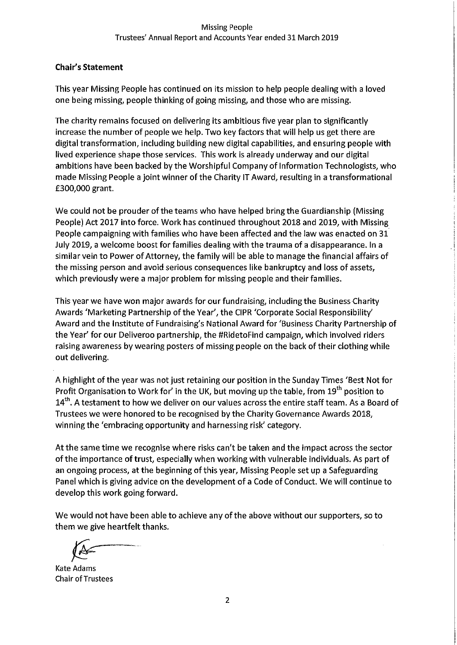## **Chair's Statement**

This year Missing People has continued on its mission to help people dealing with a loved one being missing, people thinking of going missing, and those who are missing.

The charity remains focused on delivering its ambitious five year plan to significantly increase the number of people we help. Two key factors that will help us get there are digital transformation, including building new digital capabilities, and ensuring people with lived experience shape those services. This work is already underway and our digital ambitions have been backed by the Worshipful Company of Information Technologists, who made Missing People a joint winner of the Charity IT Award, resulting in a transformational £300,000 grant.

We could not be prouder of the teams who have helped bring the Guardianship (Missing People) Act 2017 into force. Work has continued throughout 2018 and 2019, with Missing People campaigning with families who have been affected and the law was enacted on 31 July 2019, a welcome boost for families dealing with the trauma of a disappearance. In a similar vein to Power of Attorney, the family will be able to manage the financial affairs of the missing person and avoid serious consequences like bankruptcy and loss of assets, which previously were a major problem for missing people and their families.

This year we have won major awards for our fundraising, including the Business Charity Awards 'Marketing Partnership of the Year', the CIPR 'Corporate Social Responsibility' Award and the Institute of Fundraising's National Award for 'Business Charity Partnership of the Year' for our Deliveroo partnership, the #RidetoFind campaign, which involved riders raising awareness by wearing posters of missing people on the back of their clothing while out delivering.

A highlight of the year was not just retaining our position in the Sunday Times 'Best Not for Profit Organisation to Work for' in the UK, but moving up the table, from 19<sup>th</sup> position to 14<sup>th</sup>. A testament to how we deliver on our values across the entire staff team. As a Board of Trustees we were honored to be recognised by the Charity Governance Awards 2018, winning the 'embracing opportunity and harnessing risk' category.

At the same time we recognise where risks can't be taken and the impact across the sector of the importance of trust, especially when working with vulnerable individuals. As part of an ongoing process, at the beginning of this year, Missing People set up a Safeguarding Panel which is giving advice on the development of a Code of Conduct. We will continue to develop this work going forward.

We would not have been able to achieve any of the above without our supporters, so to them we give heartfelt thanks.

**Kate Adams Chair of Trustees**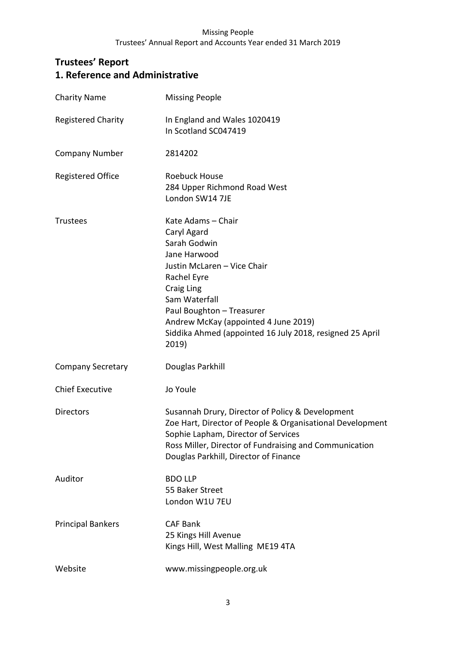# **Trustees' Report 1. Reference and Administrative**

| <b>Charity Name</b>       | <b>Missing People</b>                                                                                                                                                                                                                                                                    |
|---------------------------|------------------------------------------------------------------------------------------------------------------------------------------------------------------------------------------------------------------------------------------------------------------------------------------|
| <b>Registered Charity</b> | In England and Wales 1020419<br>In Scotland SC047419                                                                                                                                                                                                                                     |
| <b>Company Number</b>     | 2814202                                                                                                                                                                                                                                                                                  |
| <b>Registered Office</b>  | Roebuck House<br>284 Upper Richmond Road West<br>London SW14 7JE                                                                                                                                                                                                                         |
| <b>Trustees</b>           | Kate Adams - Chair<br>Caryl Agard<br>Sarah Godwin<br>Jane Harwood<br>Justin McLaren - Vice Chair<br>Rachel Eyre<br>Craig Ling<br>Sam Waterfall<br>Paul Boughton - Treasurer<br>Andrew McKay (appointed 4 June 2019)<br>Siddika Ahmed (appointed 16 July 2018, resigned 25 April<br>2019) |
| <b>Company Secretary</b>  | Douglas Parkhill                                                                                                                                                                                                                                                                         |
| <b>Chief Executive</b>    | Jo Youle                                                                                                                                                                                                                                                                                 |
| <b>Directors</b>          | Susannah Drury, Director of Policy & Development<br>Zoe Hart, Director of People & Organisational Development<br>Sophie Lapham, Director of Services<br>Ross Miller, Director of Fundraising and Communication<br>Douglas Parkhill, Director of Finance                                  |
| Auditor                   | <b>BDO LLP</b><br>55 Baker Street<br>London W1U 7EU                                                                                                                                                                                                                                      |
| <b>Principal Bankers</b>  | <b>CAF Bank</b><br>25 Kings Hill Avenue<br>Kings Hill, West Malling ME19 4TA                                                                                                                                                                                                             |
| Website                   | www.missingpeople.org.uk                                                                                                                                                                                                                                                                 |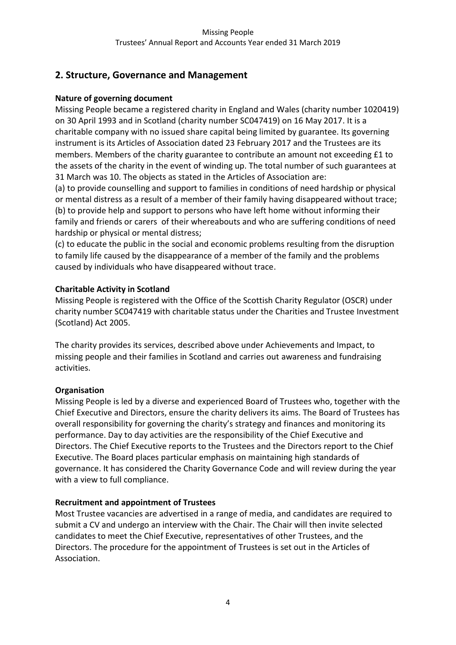# **2. Structure, Governance and Management**

## **Nature of governing document**

Missing People became a registered charity in England and Wales (charity number 1020419) on 30 April 1993 and in Scotland (charity number SC047419) on 16 May 2017. It is a charitable company with no issued share capital being limited by guarantee. Its governing instrument is its Articles of Association dated 23 February 2017 and the Trustees are its members. Members of the charity guarantee to contribute an amount not exceeding £1 to the assets of the charity in the event of winding up. The total number of such guarantees at 31 March was 10. The objects as stated in the Articles of Association are:

(a) to provide counselling and support to families in conditions of need hardship or physical or mental distress as a result of a member of their family having disappeared without trace; (b) to provide help and support to persons who have left home without informing their family and friends or carers of their whereabouts and who are suffering conditions of need hardship or physical or mental distress;

(c) to educate the public in the social and economic problems resulting from the disruption to family life caused by the disappearance of a member of the family and the problems caused by individuals who have disappeared without trace.

## **Charitable Activity in Scotland**

Missing People is registered with the Office of the Scottish Charity Regulator (OSCR) under charity number SC047419 with charitable status under the Charities and Trustee Investment (Scotland) Act 2005.

The charity provides its services, described above under Achievements and Impact, to missing people and their families in Scotland and carries out awareness and fundraising activities.

## **Organisation**

Missing People is led by a diverse and experienced Board of Trustees who, together with the Chief Executive and Directors, ensure the charity delivers its aims. The Board of Trustees has overall responsibility for governing the charity's strategy and finances and monitoring its performance. Day to day activities are the responsibility of the Chief Executive and Directors. The Chief Executive reports to the Trustees and the Directors report to the Chief Executive. The Board places particular emphasis on maintaining high standards of governance. It has considered the Charity Governance Code and will review during the year with a view to full compliance.

## **Recruitment and appointment of Trustees**

Most Trustee vacancies are advertised in a range of media, and candidates are required to submit a CV and undergo an interview with the Chair. The Chair will then invite selected candidates to meet the Chief Executive, representatives of other Trustees, and the Directors. The procedure for the appointment of Trustees is set out in the Articles of Association.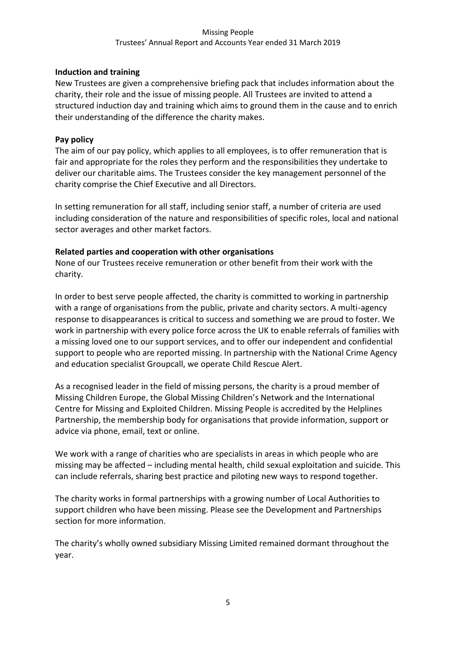## **Induction and training**

New Trustees are given a comprehensive briefing pack that includes information about the charity, their role and the issue of missing people. All Trustees are invited to attend a structured induction day and training which aims to ground them in the cause and to enrich their understanding of the difference the charity makes.

## **Pay policy**

The aim of our pay policy, which applies to all employees, is to offer remuneration that is fair and appropriate for the roles they perform and the responsibilities they undertake to deliver our charitable aims. The Trustees consider the key management personnel of the charity comprise the Chief Executive and all Directors.

In setting remuneration for all staff, including senior staff, a number of criteria are used including consideration of the nature and responsibilities of specific roles, local and national sector averages and other market factors.

## **Related parties and cooperation with other organisations**

None of our Trustees receive remuneration or other benefit from their work with the charity.

In order to best serve people affected, the charity is committed to working in partnership with a range of organisations from the public, private and charity sectors. A multi-agency response to disappearances is critical to success and something we are proud to foster. We work in partnership with every police force across the UK to enable referrals of families with a missing loved one to our support services, and to offer our independent and confidential support to people who are reported missing. In partnership with the National Crime Agency and education specialist Groupcall, we operate Child Rescue Alert.

As a recognised leader in the field of missing persons, the charity is a proud member of Missing Children Europe, the Global Missing Children's Network and the International Centre for Missing and Exploited Children. Missing People is accredited by the Helplines Partnership, the membership body for organisations that provide information, support or advice via phone, email, text or online.

We work with a range of charities who are specialists in areas in which people who are missing may be affected – including mental health, child sexual exploitation and suicide. This can include referrals, sharing best practice and piloting new ways to respond together.

The charity works in formal partnerships with a growing number of Local Authorities to support children who have been missing. Please see the Development and Partnerships section for more information.

The charity's wholly owned subsidiary Missing Limited remained dormant throughout the year.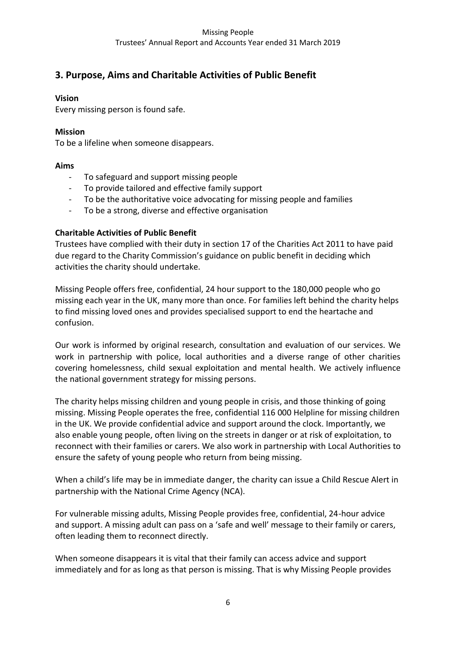# **3. Purpose, Aims and Charitable Activities of Public Benefit**

## **Vision**

Every missing person is found safe.

## **Mission**

To be a lifeline when someone disappears.

## **Aims**

- To safeguard and support missing people
- To provide tailored and effective family support
- To be the authoritative voice advocating for missing people and families
- To be a strong, diverse and effective organisation

# **Charitable Activities of Public Benefit**

Trustees have complied with their duty in section 17 of the Charities Act 2011 to have paid due regard to the Charity Commission's guidance on public benefit in deciding which activities the charity should undertake.

Missing People offers free, confidential, 24 hour support to the 180,000 people who go missing each year in the UK, many more than once. For families left behind the charity helps to find missing loved ones and provides specialised support to end the heartache and confusion.

Our work is informed by original research, consultation and evaluation of our services. We work in partnership with police, local authorities and a diverse range of other charities covering homelessness, child sexual exploitation and mental health. We actively influence the national government strategy for missing persons.

The charity helps missing children and young people in crisis, and those thinking of going missing. Missing People operates the free, confidential 116 000 Helpline for missing children in the UK. We provide confidential advice and support around the clock. Importantly, we also enable young people, often living on the streets in danger or at risk of exploitation, to reconnect with their families or carers. We also work in partnership with Local Authorities to ensure the safety of young people who return from being missing.

When a child's life may be in immediate danger, the charity can issue a Child Rescue Alert in partnership with the [National Crime Agency \(NCA\).](http://nationalcrimeagency.gov.uk/)

For vulnerable missing adults, Missing People provides free, confidential, 24-hour advice and support. A missing adult can pass on a 'safe and well' message to their family or carers, often leading them to reconnect directly.

When someone disappears it is vital that their family can access advice and support immediately and for as long as that person is missing. That is why Missing People provides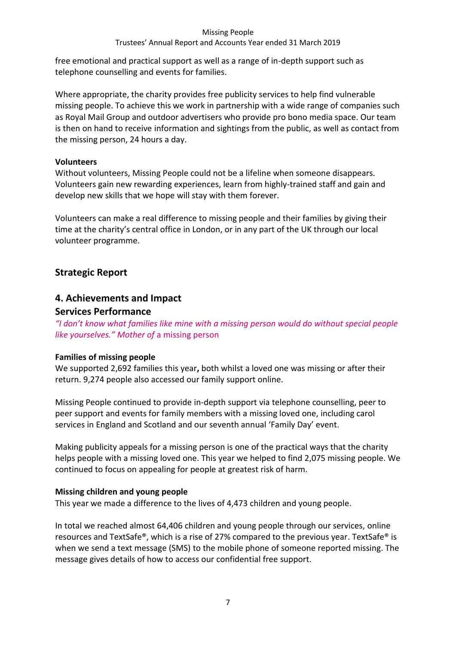## Trustees' Annual Report and Accounts Year ended 31 March 2019

free emotional and practical support as well as a range of in-depth support such as telephone counselling and events for families.

Where appropriate, the charity provides free publicity services to help find vulnerable missing people. To achieve this we work in partnership with a wide range of companies such as Royal Mail Group and outdoor advertisers who provide pro bono media space. Our team is then on hand to receive information and sightings from the public, as well as contact from the missing person, 24 hours a day.

#### **Volunteers**

Without volunteers, Missing People could not be a lifeline when someone disappears. Volunteers gain new rewarding experiences, learn from highly-trained staff and gain and develop new skills that we hope will stay with them forever.

Volunteers can make a real difference to missing people and their families by giving their time at the charity's central office in London, or in any part of the UK through our local volunteer programme.

# **Strategic Report**

# **4. Achievements and Impact Services Performance**

*"I don't know what families like mine with a missing person would do without special people like yourselves." Mother of* a missing person

## **Families of missing people**

We supported 2,692 families this year**,** both whilst a loved one was missing or after their return. 9,274 people also accessed our family support online.

Missing People continued to provide in-depth support via telephone counselling, peer to peer support and events for family members with a missing loved one, including carol services in England and Scotland and our seventh annual 'Family Day' event.

Making publicity appeals for a missing person is one of the practical ways that the charity helps people with a missing loved one. This year we helped to find 2,075 missing people. We continued to focus on appealing for people at greatest risk of harm.

## **Missing children and young people**

This year we made a difference to the lives of 4,473 children and young people.

In total we reached almost 64,406 children and young people through our services, online resources and TextSafe®, which is a rise of 27% compared to the previous year. TextSafe® is when we send a text message (SMS) to the mobile phone of someone reported missing. The message gives details of how to access our confidential free support.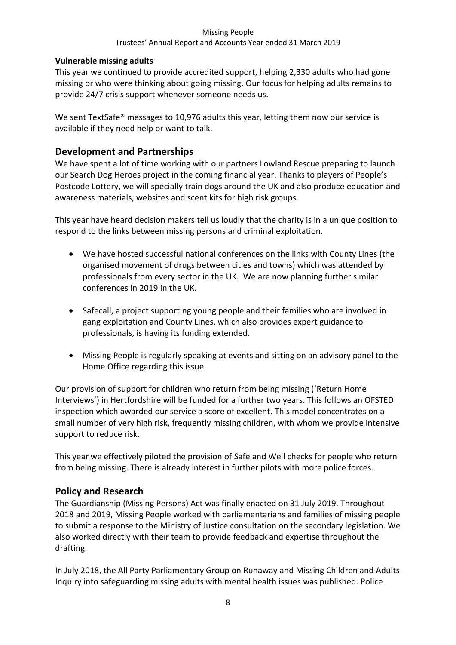## Trustees' Annual Report and Accounts Year ended 31 March 2019

## **Vulnerable missing adults**

This year we continued to provide accredited support, helping 2,330 adults who had gone missing or who were thinking about going missing. Our focus for helping adults remains to provide 24/7 crisis support whenever someone needs us.

We sent TextSafe<sup>®</sup> messages to 10,976 adults this year, letting them now our service is available if they need help or want to talk.

# **Development and Partnerships**

We have spent a lot of time working with our partners Lowland Rescue preparing to launch our Search Dog Heroes project in the coming financial year. Thanks to players of People's Postcode Lottery, we will specially train dogs around the UK and also produce education and awareness materials, websites and scent kits for high risk groups.

This year have heard decision makers tell us loudly that the charity is in a unique position to respond to the links between missing persons and criminal exploitation.

- We have hosted successful national conferences on the links with County Lines (the organised movement of drugs between cities and towns) which was attended by professionals from every sector in the UK. We are now planning further similar conferences in 2019 in the UK.
- Safecall, a project supporting young people and their families who are involved in gang exploitation and County Lines, which also provides expert guidance to professionals, is having its funding extended.
- Missing People is regularly speaking at events and sitting on an advisory panel to the Home Office regarding this issue.

Our provision of support for children who return from being missing ('Return Home Interviews') in Hertfordshire will be funded for a further two years. This follows an OFSTED inspection which awarded our service a score of excellent. This model concentrates on a small number of very high risk, frequently missing children, with whom we provide intensive support to reduce risk.

This year we effectively piloted the provision of Safe and Well checks for people who return from being missing. There is already interest in further pilots with more police forces.

# **Policy and Research**

The Guardianship (Missing Persons) Act was finally enacted on 31 July 2019. Throughout 2018 and 2019, Missing People worked with parliamentarians and families of missing people to submit a response to the Ministry of Justice consultation on the secondary legislation. We also worked directly with their team to provide feedback and expertise throughout the drafting.

In July 2018, the All Party Parliamentary Group on Runaway and Missing Children and Adults Inquiry into safeguarding missing adults with mental health issues was published. Police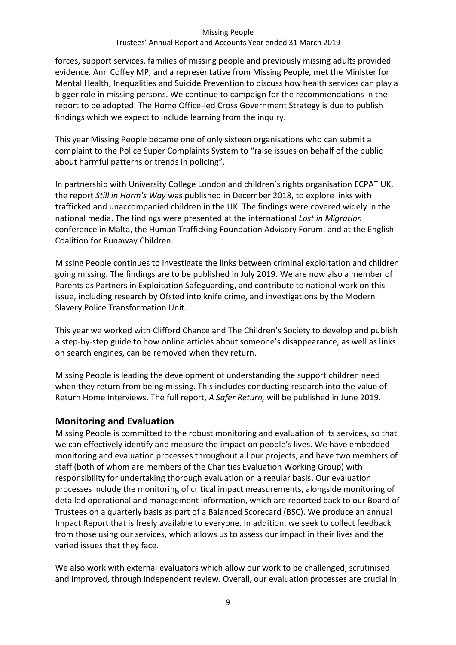#### Trustees' Annual Report and Accounts Year ended 31 March 2019

forces, support services, families of missing people and previously missing adults provided evidence. Ann Coffey MP, and a representative from Missing People, met the Minister for Mental Health, Inequalities and Suicide Prevention to discuss how health services can play a bigger role in missing persons. We continue to campaign for the recommendations in the report to be adopted. The Home Office-led Cross Government Strategy is due to publish findings which we expect to include learning from the inquiry.

This year Missing People became one of only sixteen organisations who can submit a complaint to the Police Super Complaints System to "raise issues on behalf of the public about harmful patterns or trends in policing".

In partnership with University College London and children's rights organisation ECPAT UK, the report *Still in Harm's Way* was published in December 2018, to explore links with trafficked and unaccompanied children in the UK. The findings were covered widely in the national media. The findings were presented at the international *Lost in Migration* conference in Malta, the Human Trafficking Foundation Advisory Forum, and at the English Coalition for Runaway Children.

Missing People continues to investigate the links between criminal exploitation and children going missing. The findings are to be published in July 2019. We are now also a member of Parents as Partners in Exploitation Safeguarding, and contribute to national work on this issue, including research by Ofsted into knife crime, and investigations by the Modern Slavery Police Transformation Unit.

This year we worked with Clifford Chance and The Children's Society to develop and publish a step-by-step guide to how online articles about someone's disappearance, as well as links on search engines, can be removed when they return.

Missing People is leading the development of understanding the support children need when they return from being missing. This includes conducting research into the value of Return Home Interviews. The full report, *A Safer Return,* will be published in June 2019.

# **Monitoring and Evaluation**

Missing People is committed to the robust monitoring and evaluation of its services, so that we can effectively identify and measure the impact on people's lives. We have embedded monitoring and evaluation processes throughout all our projects, and have two members of staff (both of whom are members of the Charities Evaluation Working Group) with responsibility for undertaking thorough evaluation on a regular basis. Our evaluation processes include the monitoring of critical impact measurements, alongside monitoring of detailed operational and management information, which are reported back to our Board of Trustees on a quarterly basis as part of a Balanced Scorecard (BSC). We produce an annual Impact Report that is freely available to everyone. In addition, we seek to collect feedback from those using our services, which allows us to assess our impact in their lives and the varied issues that they face.

We also work with external evaluators which allow our work to be challenged, scrutinised and improved, through independent review. Overall, our evaluation processes are crucial in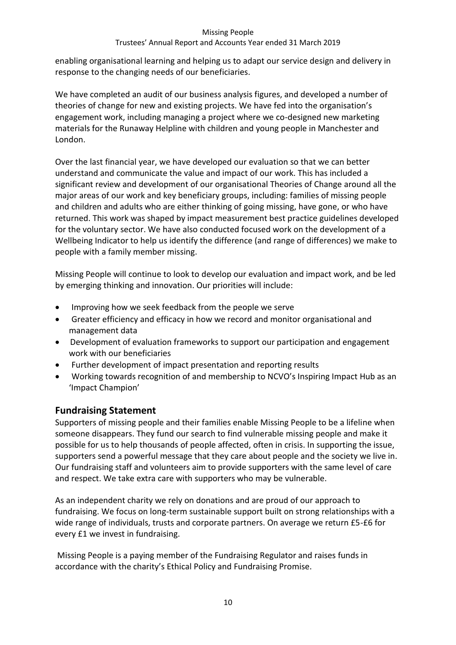# Trustees' Annual Report and Accounts Year ended 31 March 2019

enabling organisational learning and helping us to adapt our service design and delivery in response to the changing needs of our beneficiaries.

We have completed an audit of our business analysis figures, and developed a number of theories of change for new and existing projects. We have fed into the organisation's engagement work, including managing a project where we co-designed new marketing materials for the Runaway Helpline with children and young people in Manchester and London.

Over the last financial year, we have developed our evaluation so that we can better understand and communicate the value and impact of our work. This has included a significant review and development of our organisational Theories of Change around all the major areas of our work and key beneficiary groups, including: families of missing people and children and adults who are either thinking of going missing, have gone, or who have returned. This work was shaped by impact measurement best practice guidelines developed for the voluntary sector. We have also conducted focused work on the development of a Wellbeing Indicator to help us identify the difference (and range of differences) we make to people with a family member missing.

Missing People will continue to look to develop our evaluation and impact work, and be led by emerging thinking and innovation. Our priorities will include:

- Improving how we seek feedback from the people we serve
- Greater efficiency and efficacy in how we record and monitor organisational and management data
- Development of evaluation frameworks to support our participation and engagement work with our beneficiaries
- Further development of impact presentation and reporting results
- Working towards recognition of and membership to NCVO's Inspiring Impact Hub as an 'Impact Champion'

# **Fundraising Statement**

Supporters of missing people and their families enable Missing People to be a lifeline when someone disappears. They fund our search to find vulnerable missing people and make it possible for us to help thousands of people affected, often in crisis. In supporting the issue, supporters send a powerful message that they care about people and the society we live in. Our fundraising staff and volunteers aim to provide supporters with the same level of care and respect. We take extra care with supporters who may be vulnerable.

As an independent charity we rely on donations and are proud of our approach to fundraising. We focus on long-term sustainable support built on strong relationships with a wide range of individuals, trusts and corporate partners. On average we return £5-£6 for every £1 we invest in fundraising.

Missing People is a paying member of the Fundraising Regulator and raises funds in accordance with the charity's Ethical Policy and Fundraising Promise.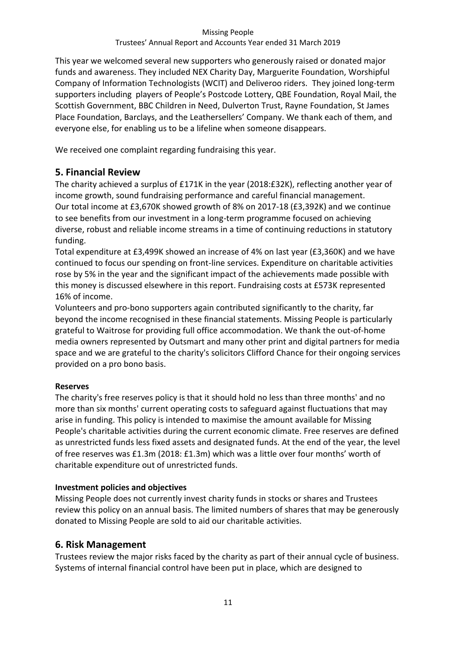This year we welcomed several new supporters who generously raised or donated major funds and awareness. They included NEX Charity Day, Marguerite Foundation, Worshipful Company of Information Technologists (WCIT) and Deliveroo riders. They joined long-term supporters including players of People's Postcode Lottery, QBE Foundation, Royal Mail, the Scottish Government, BBC Children in Need, Dulverton Trust, Rayne Foundation, St James Place Foundation, Barclays, and the Leathersellers' Company. We thank each of them, and everyone else, for enabling us to be a lifeline when someone disappears.

We received one complaint regarding fundraising this year.

# **5. Financial Review**

The charity achieved a surplus of £171K in the year (2018:£32K), reflecting another year of income growth, sound fundraising performance and careful financial management. Our total income at £3,670K showed growth of 8% on 2017-18 (£3,392K) and we continue to see benefits from our investment in a long-term programme focused on achieving diverse, robust and reliable income streams in a time of continuing reductions in statutory funding.

Total expenditure at £3,499K showed an increase of 4% on last year (£3,360K) and we have continued to focus our spending on front-line services. Expenditure on charitable activities rose by 5% in the year and the significant impact of the achievements made possible with this money is discussed elsewhere in this report. Fundraising costs at £573K represented 16% of income.

Volunteers and pro-bono supporters again contributed significantly to the charity, far beyond the income recognised in these financial statements. Missing People is particularly grateful to Waitrose for providing full office accommodation. We thank the out-of-home media owners represented by Outsmart and many other print and digital partners for media space and we are grateful to the charity's solicitors Clifford Chance for their ongoing services provided on a pro bono basis.

# **Reserves**

The charity's free reserves policy is that it should hold no less than three months' and no more than six months' current operating costs to safeguard against fluctuations that may arise in funding. This policy is intended to maximise the amount available for Missing People's charitable activities during the current economic climate. Free reserves are defined as unrestricted funds less fixed assets and designated funds. At the end of the year, the level of free reserves was £1.3m (2018: £1.3m) which was a little over four months' worth of charitable expenditure out of unrestricted funds.

# **Investment policies and objectives**

Missing People does not currently invest charity funds in stocks or shares and Trustees review this policy on an annual basis. The limited numbers of shares that may be generously donated to Missing People are sold to aid our charitable activities.

# **6. Risk Management**

Trustees review the major risks faced by the charity as part of their annual cycle of business. Systems of internal financial control have been put in place, which are designed to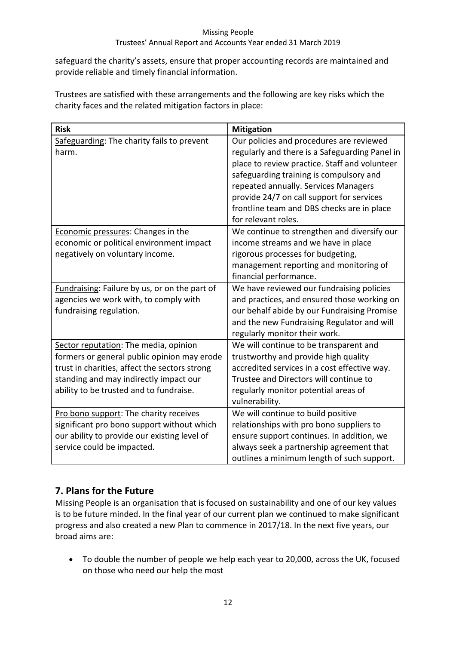# Trustees' Annual Report and Accounts Year ended 31 March 2019

safeguard the charity's assets, ensure that proper accounting records are maintained and provide reliable and timely financial information.

Trustees are satisfied with these arrangements and the following are key risks which the charity faces and the related mitigation factors in place:

| <b>Risk</b>                                                                                                                                                                                                                | <b>Mitigation</b>                                                                                                                                                                                                                                                                                                                                |
|----------------------------------------------------------------------------------------------------------------------------------------------------------------------------------------------------------------------------|--------------------------------------------------------------------------------------------------------------------------------------------------------------------------------------------------------------------------------------------------------------------------------------------------------------------------------------------------|
| Safeguarding: The charity fails to prevent<br>harm.                                                                                                                                                                        | Our policies and procedures are reviewed<br>regularly and there is a Safeguarding Panel in<br>place to review practice. Staff and volunteer<br>safeguarding training is compulsory and<br>repeated annually. Services Managers<br>provide 24/7 on call support for services<br>frontline team and DBS checks are in place<br>for relevant roles. |
| Economic pressures: Changes in the<br>economic or political environment impact<br>negatively on voluntary income.                                                                                                          | We continue to strengthen and diversify our<br>income streams and we have in place<br>rigorous processes for budgeting,<br>management reporting and monitoring of<br>financial performance.                                                                                                                                                      |
| Fundraising: Failure by us, or on the part of<br>agencies we work with, to comply with<br>fundraising regulation.                                                                                                          | We have reviewed our fundraising policies<br>and practices, and ensured those working on<br>our behalf abide by our Fundraising Promise<br>and the new Fundraising Regulator and will<br>regularly monitor their work.                                                                                                                           |
| Sector reputation: The media, opinion<br>formers or general public opinion may erode<br>trust in charities, affect the sectors strong<br>standing and may indirectly impact our<br>ability to be trusted and to fundraise. | We will continue to be transparent and<br>trustworthy and provide high quality<br>accredited services in a cost effective way.<br>Trustee and Directors will continue to<br>regularly monitor potential areas of<br>vulnerability.                                                                                                               |
| Pro bono support: The charity receives<br>significant pro bono support without which<br>our ability to provide our existing level of<br>service could be impacted.                                                         | We will continue to build positive<br>relationships with pro bono suppliers to<br>ensure support continues. In addition, we<br>always seek a partnership agreement that<br>outlines a minimum length of such support.                                                                                                                            |

# **7. Plans for the Future**

Missing People is an organisation that is focused on sustainability and one of our key values is to be future minded. In the final year of our current plan we continued to make significant progress and also created a new Plan to commence in 2017/18. In the next five years, our broad aims are:

 To double the number of people we help each year to 20,000, across the UK, focused on those who need our help the most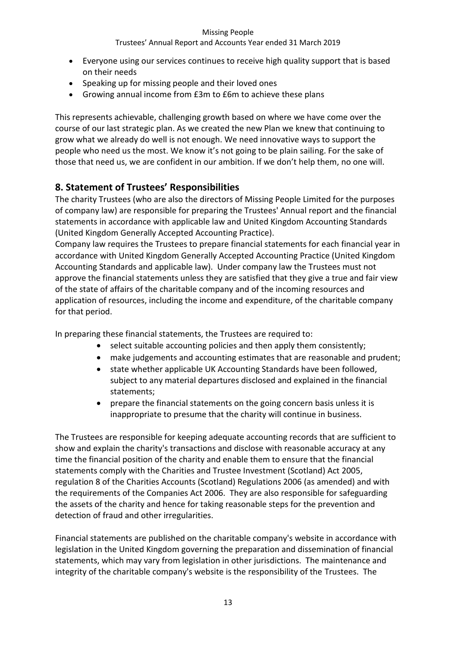## Trustees' Annual Report and Accounts Year ended 31 March 2019

- Everyone using our services continues to receive high quality support that is based on their needs
- Speaking up for missing people and their loved ones
- Growing annual income from £3m to £6m to achieve these plans

This represents achievable, challenging growth based on where we have come over the course of our last strategic plan. As we created the new Plan we knew that continuing to grow what we already do well is not enough. We need innovative ways to support the people who need us the most. We know it's not going to be plain sailing. For the sake of those that need us, we are confident in our ambition. If we don't help them, no one will.

# **8. Statement of Trustees' Responsibilities**

The charity Trustees (who are also the directors of Missing People Limited for the purposes of company law) are responsible for preparing the Trustees' Annual report and the financial statements in accordance with applicable law and United Kingdom Accounting Standards (United Kingdom Generally Accepted Accounting Practice).

Company law requires the Trustees to prepare financial statements for each financial year in accordance with United Kingdom Generally Accepted Accounting Practice (United Kingdom Accounting Standards and applicable law). Under company law the Trustees must not approve the financial statements unless they are satisfied that they give a true and fair view of the state of affairs of the charitable company and of the incoming resources and application of resources, including the income and expenditure, of the charitable company for that period.

In preparing these financial statements, the Trustees are required to:

- select suitable accounting policies and then apply them consistently;
- make judgements and accounting estimates that are reasonable and prudent;
- state whether applicable UK Accounting Standards have been followed, subject to any material departures disclosed and explained in the financial statements;
- prepare the financial statements on the going concern basis unless it is inappropriate to presume that the charity will continue in business.

The Trustees are responsible for keeping adequate accounting records that are sufficient to show and explain the charity's transactions and disclose with reasonable accuracy at any time the financial position of the charity and enable them to ensure that the financial statements comply with the Charities and Trustee Investment (Scotland) Act 2005, regulation 8 of the Charities Accounts (Scotland) Regulations 2006 (as amended) and with the requirements of the Companies Act 2006. They are also responsible for safeguarding the assets of the charity and hence for taking reasonable steps for the prevention and detection of fraud and other irregularities.

Financial statements are published on the charitable company's website in accordance with legislation in the United Kingdom governing the preparation and dissemination of financial statements, which may vary from legislation in other jurisdictions. The maintenance and integrity of the charitable company's website is the responsibility of the Trustees. The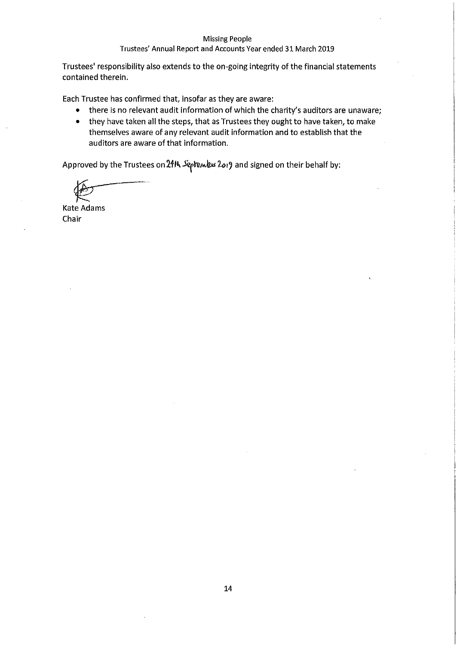#### Trustees' Annual Report and Accounts Year ended 31 March 2019

Trustees' responsibility also extends to the on-going integrity of the financial statements contained therein.

Each Trustee has confirmed that, insofar as they are aware:

- there is no relevant audit information of which the charity's auditors are unaware;
- they have taken all the steps, that as Trustees they ought to have taken, to make themselves aware of any relevant audit information and to establish that the auditors are aware of that information.

Approved by the Trustees on 24th September 2019 and signed on their behalf by:

**Kate Adams** Chair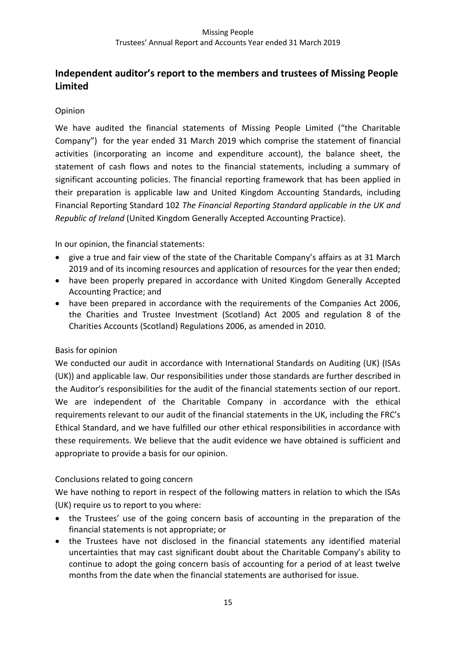# **Independent auditor's report to the members and trustees of Missing People Limited**

# Opinion

We have audited the financial statements of Missing People Limited ("the Charitable Company") for the year ended 31 March 2019 which comprise the statement of financial activities (incorporating an income and expenditure account), the balance sheet, the statement of cash flows and notes to the financial statements, including a summary of significant accounting policies. The financial reporting framework that has been applied in their preparation is applicable law and United Kingdom Accounting Standards, including Financial Reporting Standard 102 *The Financial Reporting Standard applicable in the UK and Republic of Ireland* (United Kingdom Generally Accepted Accounting Practice).

In our opinion, the financial statements:

- give a true and fair view of the state of the Charitable Company's affairs as at 31 March 2019 and of its incoming resources and application of resources for the year then ended;
- have been properly prepared in accordance with United Kingdom Generally Accepted Accounting Practice; and
- have been prepared in accordance with the requirements of the Companies Act 2006, the Charities and Trustee Investment (Scotland) Act 2005 and regulation 8 of the Charities Accounts (Scotland) Regulations 2006, as amended in 2010.

## Basis for opinion

We conducted our audit in accordance with International Standards on Auditing (UK) (ISAs (UK)) and applicable law. Our responsibilities under those standards are further described in the Auditor's responsibilities for the audit of the financial statements section of our report. We are independent of the Charitable Company in accordance with the ethical requirements relevant to our audit of the financial statements in the UK, including the FRC's Ethical Standard, and we have fulfilled our other ethical responsibilities in accordance with these requirements. We believe that the audit evidence we have obtained is sufficient and appropriate to provide a basis for our opinion.

## Conclusions related to going concern

We have nothing to report in respect of the following matters in relation to which the ISAs (UK) require us to report to you where:

- the Trustees' use of the going concern basis of accounting in the preparation of the financial statements is not appropriate; or
- the Trustees have not disclosed in the financial statements any identified material uncertainties that may cast significant doubt about the Charitable Company's ability to continue to adopt the going concern basis of accounting for a period of at least twelve months from the date when the financial statements are authorised for issue.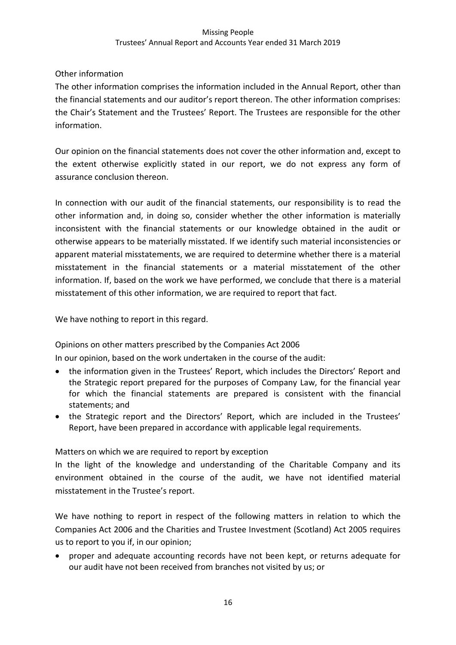# Other information

The other information comprises the information included in the Annual Report, other than the financial statements and our auditor's report thereon. The other information comprises: the Chair's Statement and the Trustees' Report. The Trustees are responsible for the other information.

Our opinion on the financial statements does not cover the other information and, except to the extent otherwise explicitly stated in our report, we do not express any form of assurance conclusion thereon.

In connection with our audit of the financial statements, our responsibility is to read the other information and, in doing so, consider whether the other information is materially inconsistent with the financial statements or our knowledge obtained in the audit or otherwise appears to be materially misstated. If we identify such material inconsistencies or apparent material misstatements, we are required to determine whether there is a material misstatement in the financial statements or a material misstatement of the other information. If, based on the work we have performed, we conclude that there is a material misstatement of this other information, we are required to report that fact.

We have nothing to report in this regard.

Opinions on other matters prescribed by the Companies Act 2006

In our opinion, based on the work undertaken in the course of the audit:

- the information given in the Trustees' Report, which includes the Directors' Report and the Strategic report prepared for the purposes of Company Law, for the financial year for which the financial statements are prepared is consistent with the financial statements; and
- the Strategic report and the Directors' Report, which are included in the Trustees' Report, have been prepared in accordance with applicable legal requirements.

Matters on which we are required to report by exception

In the light of the knowledge and understanding of the Charitable Company and its environment obtained in the course of the audit, we have not identified material misstatement in the Trustee's report.

We have nothing to report in respect of the following matters in relation to which the Companies Act 2006 and the Charities and Trustee Investment (Scotland) Act 2005 requires us to report to you if, in our opinion;

 proper and adequate accounting records have not been kept, or returns adequate for our audit have not been received from branches not visited by us; or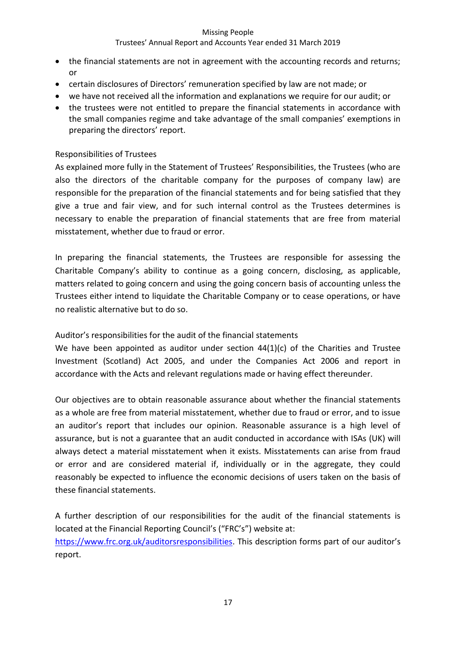## Trustees' Annual Report and Accounts Year ended 31 March 2019

- the financial statements are not in agreement with the accounting records and returns; or
- certain disclosures of Directors' remuneration specified by law are not made; or
- we have not received all the information and explanations we require for our audit; or
- the trustees were not entitled to prepare the financial statements in accordance with the small companies regime and take advantage of the small companies' exemptions in preparing the directors' report.

## Responsibilities of Trustees

As explained more fully in the Statement of Trustees' Responsibilities, the Trustees (who are also the directors of the charitable company for the purposes of company law) are responsible for the preparation of the financial statements and for being satisfied that they give a true and fair view, and for such internal control as the Trustees determines is necessary to enable the preparation of financial statements that are free from material misstatement, whether due to fraud or error.

In preparing the financial statements, the Trustees are responsible for assessing the Charitable Company's ability to continue as a going concern, disclosing, as applicable, matters related to going concern and using the going concern basis of accounting unless the Trustees either intend to liquidate the Charitable Company or to cease operations, or have no realistic alternative but to do so.

Auditor's responsibilities for the audit of the financial statements

We have been appointed as auditor under section  $44(1)(c)$  of the Charities and Trustee Investment (Scotland) Act 2005, and under the Companies Act 2006 and report in accordance with the Acts and relevant regulations made or having effect thereunder.

Our objectives are to obtain reasonable assurance about whether the financial statements as a whole are free from material misstatement, whether due to fraud or error, and to issue an auditor's report that includes our opinion. Reasonable assurance is a high level of assurance, but is not a guarantee that an audit conducted in accordance with ISAs (UK) will always detect a material misstatement when it exists. Misstatements can arise from fraud or error and are considered material if, individually or in the aggregate, they could reasonably be expected to influence the economic decisions of users taken on the basis of these financial statements.

A further description of our responsibilities for the audit of the financial statements is located at the Financial Reporting Council's ("FRC's") website at: <https://www.frc.org.uk/auditorsresponsibilities>. This description forms part of our auditor's report.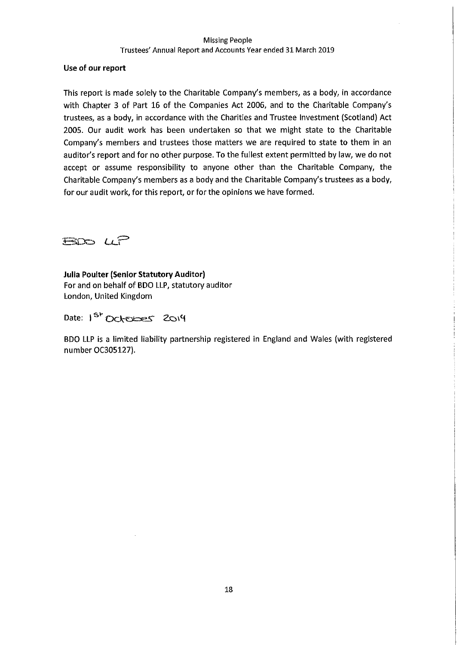#### Use of our report

This report is made solely to the Charitable Company's members, as a body, in accordance with Chapter 3 of Part 16 of the Companies Act 2006, and to the Charitable Company's trustees, as a body, in accordance with the Charities and Trustee Investment (Scotland) Act 2005. Our audit work has been undertaken so that we might state to the Charitable Company's members and trustees those matters we are required to state to them in an auditor's report and for no other purpose. To the fullest extent permitted by law, we do not accept or assume responsibility to anyone other than the Charitable Company, the Charitable Company's members as a body and the Charitable Company's trustees as a body, for our audit work, for this report, or for the opinions we have formed.

BOD UP

**Julia Poulter (Senior Statutory Auditor)** For and on behalf of BDO LLP, statutory auditor London, United Kingdom

Date: 1<sup>st</sup> October 2014

BDO LLP is a limited liability partnership registered in England and Wales (with registered number OC305127).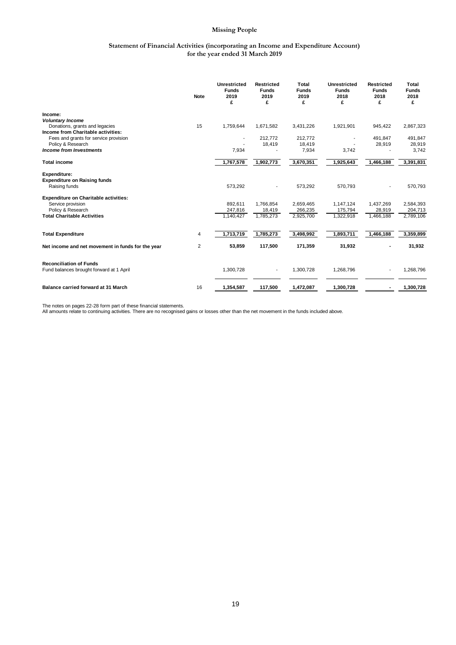#### **Statement of Financial Activities (incorporating an Income and Expenditure Account) for the year ended 31 March 2019**

|                                                                            | <b>Note</b> | <b>Unrestricted</b><br><b>Funds</b><br>2019<br>£ | <b>Restricted</b><br><b>Funds</b><br>2019<br>£ | Total<br><b>Funds</b><br>2019<br>£ | <b>Unrestricted</b><br><b>Funds</b><br>2018<br>£ | <b>Restricted</b><br><b>Funds</b><br>2018<br>£ | <b>Total</b><br><b>Funds</b><br>2018<br>£ |
|----------------------------------------------------------------------------|-------------|--------------------------------------------------|------------------------------------------------|------------------------------------|--------------------------------------------------|------------------------------------------------|-------------------------------------------|
| Income:                                                                    |             |                                                  |                                                |                                    |                                                  |                                                |                                           |
| <b>Voluntary Income</b>                                                    |             |                                                  |                                                |                                    |                                                  |                                                |                                           |
| Donations, grants and legacies<br>Income from Charitable activities:       | 15          | 1,759,644                                        | 1,671,582                                      | 3,431,226                          | 1,921,901                                        | 945,422                                        | 2,867,323                                 |
| Fees and grants for service provision                                      |             |                                                  | 212,772                                        | 212,772                            |                                                  | 491,847                                        | 491,847                                   |
| Policy & Research                                                          |             |                                                  | 18,419                                         | 18,419                             |                                                  | 28,919                                         | 28,919                                    |
| <b>Income from Investments</b>                                             |             | 7,934                                            |                                                | 7,934                              | 3,742                                            |                                                | 3,742                                     |
| <b>Total income</b>                                                        |             | 1,767,578                                        | 1,902,773                                      | 3,670,351                          | 1,925,643                                        | 1,466,188                                      | 3,391,831                                 |
| <b>Expenditure:</b>                                                        |             |                                                  |                                                |                                    |                                                  |                                                |                                           |
| <b>Expenditure on Raising funds</b>                                        |             |                                                  |                                                |                                    |                                                  |                                                |                                           |
| Raising funds                                                              |             | 573,292                                          |                                                | 573,292                            | 570,793                                          |                                                | 570,793                                   |
| <b>Expenditure on Charitable activities:</b>                               |             |                                                  |                                                |                                    |                                                  |                                                |                                           |
| Service provision                                                          |             | 892,611                                          | 1,766,854                                      | 2,659,465                          | 1,147,124                                        | 1,437,269                                      | 2,584,393                                 |
| Policy & Research                                                          |             | 247,816                                          | 18,419                                         | 266,235                            | 175,794                                          | 28,919                                         | 204,713                                   |
| <b>Total Charitable Activities</b>                                         |             | 1,140,427                                        | 1,785,273                                      | 2,925,700                          | 1,322,918                                        | 1,466,188                                      | 2,789,106                                 |
| <b>Total Expenditure</b>                                                   | 4           | 1,713,719                                        | 1,785,273                                      | 3,498,992                          | 1,893,711                                        | 1,466,188                                      | 3,359,899                                 |
|                                                                            |             |                                                  |                                                |                                    |                                                  |                                                |                                           |
| Net income and net movement in funds for the year                          | 2           | 53,859                                           | 117,500                                        | 171,359                            | 31,932                                           |                                                | 31,932                                    |
|                                                                            |             |                                                  |                                                |                                    |                                                  |                                                |                                           |
| <b>Reconciliation of Funds</b><br>Fund balances brought forward at 1 April |             | 1,300,728                                        | $\overline{\phantom{a}}$                       | 1,300,728                          | 1,268,796                                        |                                                | 1,268,796                                 |
| <b>Balance carried forward at 31 March</b>                                 | 16          | 1,354,587                                        | 117,500                                        | 1,472,087                          | 1,300,728                                        |                                                | 1,300,728                                 |

The notes on pages 22-28 form part of these financial statements.<br>All amounts relate to continuing activities. There are no recognised gains or losses other than the net movement in the funds included above.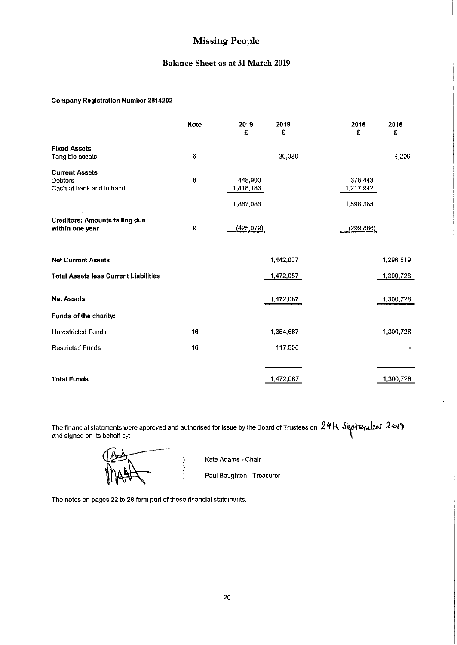#### Balance Sheet as at 31 March 2019

#### **Company Registration Number 2814202**

|                                                                     | <b>Note</b> | 2019<br>£                         | 2019<br>£ | 2018<br>£                         | 2018<br>£ |
|---------------------------------------------------------------------|-------------|-----------------------------------|-----------|-----------------------------------|-----------|
| <b>Fixed Assets</b><br>Tangible assets                              | 6           |                                   | 30,080    |                                   | 4,209     |
| <b>Current Assets</b><br><b>Debtors</b><br>Cash at bank and in hand | 8           | 448 900<br>1,418,186<br>1,867,086 |           | 378,443<br>1,217,942<br>1,596,385 |           |
| <b>Creditors: Amounts falling due</b><br>within one year            | 9           | (425.079)                         |           | (299, 866)                        |           |
| <b>Net Current Assets</b>                                           |             |                                   | 1,442,007 |                                   | 1,296,519 |
| <b>Total Assets less Current Liabilities</b>                        |             |                                   | 1,472,087 |                                   | 1,300,728 |
| <b>Net Assets</b>                                                   |             |                                   | 1,472,087 |                                   | 1,300,728 |
| Funds of the charity:                                               |             |                                   |           |                                   |           |
| <b>Unrestricted Funds</b>                                           | 16          |                                   | 1,354,587 |                                   | 1,300,728 |
| <b>Restricted Funds</b>                                             | 16          |                                   | 117,500   |                                   |           |
|                                                                     |             |                                   |           |                                   |           |
| <b>Total Funds</b>                                                  |             |                                   | 1,472,087 |                                   | 1,300,728 |

The financial statements were approved and authorised for issue by the Board of Trustees on  $24H$  September 2019 and signed on its behalf by:

Kate Adams - Chair

Paul Boughton - Treasurer

The notes on pages 22 to 28 form part of these financial statements.

}<br>}<br>}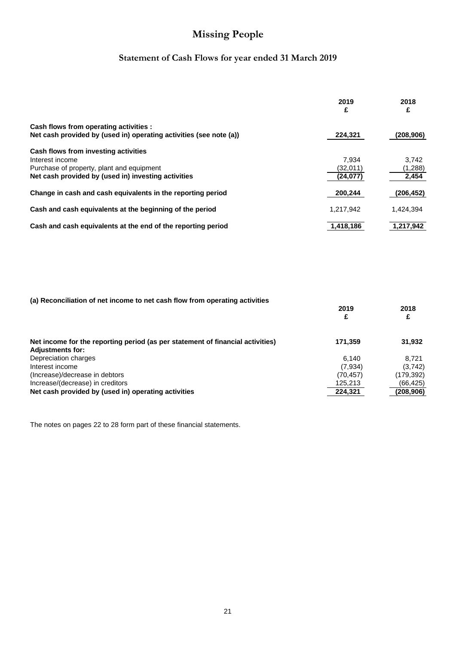# **Statement of Cash Flows for year ended 31 March 2019**

|                                                                    | 2019<br>£ | 2018<br>£  |
|--------------------------------------------------------------------|-----------|------------|
| Cash flows from operating activities :                             |           |            |
| Net cash provided by (used in) operating activities (see note (a)) | 224,321   | (208, 906) |
| Cash flows from investing activities                               |           |            |
| Interest income                                                    | 7.934     | 3.742      |
| Purchase of property, plant and equipment                          | (32,011)  | (1,288)    |
| Net cash provided by (used in) investing activities                | (24, 077) | 2,454      |
| Change in cash and cash equivalents in the reporting period        | 200,244   | (206, 452) |
| Cash and cash equivalents at the beginning of the period           | 1.217.942 | 1,424,394  |
| Cash and cash equivalents at the end of the reporting period       | 1,418,186 | 1,217,942  |

| (a) Reconciliation of net income to net cash flow from operating activities    |           |            |
|--------------------------------------------------------------------------------|-----------|------------|
|                                                                                | 2019      | 2018       |
|                                                                                | £         |            |
| Net income for the reporting period (as per statement of financial activities) | 171,359   | 31,932     |
| <b>Adjustments for:</b>                                                        |           |            |
| Depreciation charges                                                           | 6.140     | 8.721      |
| Interest income                                                                | (7,934)   | (3,742)    |
| (Increase)/decrease in debtors                                                 | (70, 457) | (179, 392) |
| Increase/(decrease) in creditors                                               | 125,213   | (66,425)   |
| Net cash provided by (used in) operating activities                            | 224.321   | (208, 906) |

The notes on pages 22 to 28 form part of these financial statements.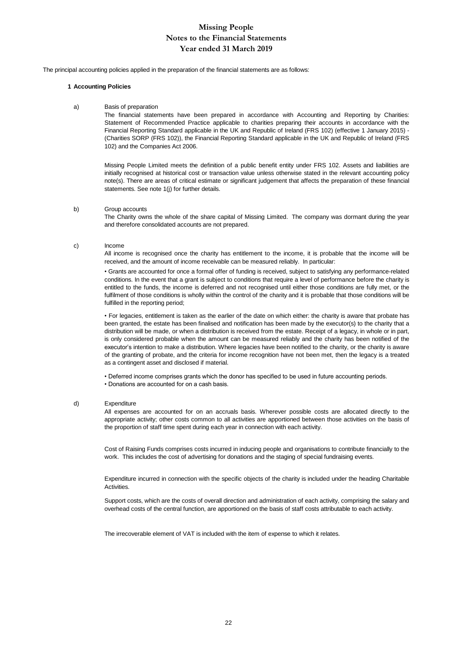The principal accounting policies applied in the preparation of the financial statements are as follows:

#### **1 Accounting Policies**

#### a) Basis of preparation

The financial statements have been prepared in accordance with Accounting and Reporting by Charities: Statement of Recommended Practice applicable to charities preparing their accounts in accordance with the Financial Reporting Standard applicable in the UK and Republic of Ireland (FRS 102) (effective 1 January 2015) - (Charities SORP (FRS 102)), the Financial Reporting Standard applicable in the UK and Republic of Ireland (FRS 102) and the Companies Act 2006.

Missing People Limited meets the definition of a public benefit entity under FRS 102. Assets and liabilities are initially recognised at historical cost or transaction value unless otherwise stated in the relevant accounting policy note(s). There are areas of critical estimate or significant judgement that affects the preparation of these financial statements. See note 1(j) for further details.

#### b) Group accounts

The Charity owns the whole of the share capital of Missing Limited. The company was dormant during the year and therefore consolidated accounts are not prepared.

#### c) Income

All income is recognised once the charity has entitlement to the income, it is probable that the income will be received, and the amount of income receivable can be measured reliably. In particular:

• Grants are accounted for once a formal offer of funding is received, subject to satisfying any performance-related conditions. In the event that a grant is subject to conditions that require a level of performance before the charity is entitled to the funds, the income is deferred and not recognised until either those conditions are fully met, or the fulfilment of those conditions is wholly within the control of the charity and it is probable that those conditions will be fulfilled in the reporting period;

• For legacies, entitlement is taken as the earlier of the date on which either: the charity is aware that probate has been granted, the estate has been finalised and notification has been made by the executor(s) to the charity that a distribution will be made, or when a distribution is received from the estate. Receipt of a legacy, in whole or in part, is only considered probable when the amount can be measured reliably and the charity has been notified of the executor's intention to make a distribution. Where legacies have been notified to the charity, or the charity is aware of the granting of probate, and the criteria for income recognition have not been met, then the legacy is a treated as a contingent asset and disclosed if material.

• Deferred income comprises grants which the donor has specified to be used in future accounting periods.

• Donations are accounted for on a cash basis.

#### d) Expenditure

All expenses are accounted for on an accruals basis. Wherever possible costs are allocated directly to the appropriate activity; other costs common to all activities are apportioned between those activities on the basis of the proportion of staff time spent during each year in connection with each activity.

Cost of Raising Funds comprises costs incurred in inducing people and organisations to contribute financially to the work. This includes the cost of advertising for donations and the staging of special fundraising events.

Expenditure incurred in connection with the specific objects of the charity is included under the heading Charitable Activities.

Support costs, which are the costs of overall direction and administration of each activity, comprising the salary and overhead costs of the central function, are apportioned on the basis of staff costs attributable to each activity.

The irrecoverable element of VAT is included with the item of expense to which it relates.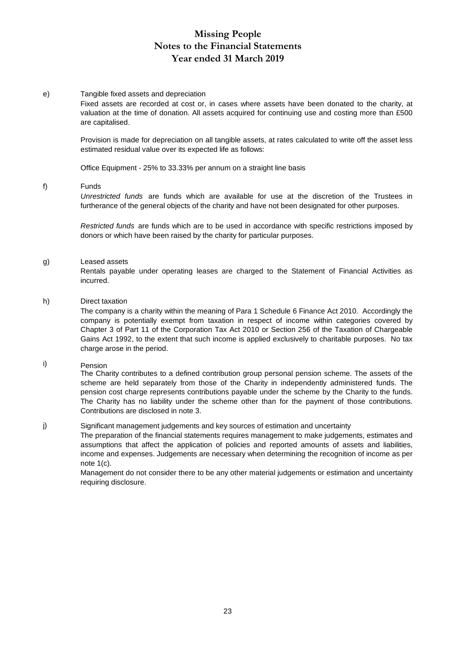#### e) Tangible fixed assets and depreciation

Fixed assets are recorded at cost or, in cases where assets have been donated to the charity, at valuation at the time of donation. All assets acquired for continuing use and costing more than £500 are capitalised.

Provision is made for depreciation on all tangible assets, at rates calculated to write off the asset less estimated residual value over its expected life as follows:

Office Equipment - 25% to 33.33% per annum on a straight line basis

#### f) Funds

*Unrestricted funds* are funds which are available for use at the discretion of the Trustees in furtherance of the general objects of the charity and have not been designated for other purposes.

*Restricted funds* are funds which are to be used in accordance with specific restrictions imposed by donors or which have been raised by the charity for particular purposes.

#### g) Leased assets

Rentals payable under operating leases are charged to the Statement of Financial Activities as incurred.

#### h) Direct taxation

The company is a charity within the meaning of Para 1 Schedule 6 Finance Act 2010. Accordingly the company is potentially exempt from taxation in respect of income within categories covered by Chapter 3 of Part 11 of the Corporation Tax Act 2010 or Section 256 of the Taxation of Chargeable Gains Act 1992, to the extent that such income is applied exclusively to charitable purposes. No tax charge arose in the period.

#### i) Pension

The Charity contributes to a defined contribution group personal pension scheme. The assets of the scheme are held separately from those of the Charity in independently administered funds. The pension cost charge represents contributions payable under the scheme by the Charity to the funds. The Charity has no liability under the scheme other than for the payment of those contributions. Contributions are disclosed in note 3.

#### j) Significant management judgements and key sources of estimation and uncertainty

The preparation of the financial statements requires management to make judgements, estimates and assumptions that affect the application of policies and reported amounts of assets and liabilities, income and expenses. Judgements are necessary when determining the recognition of income as per note 1(c).

Management do not consider there to be any other material judgements or estimation and uncertainty requiring disclosure.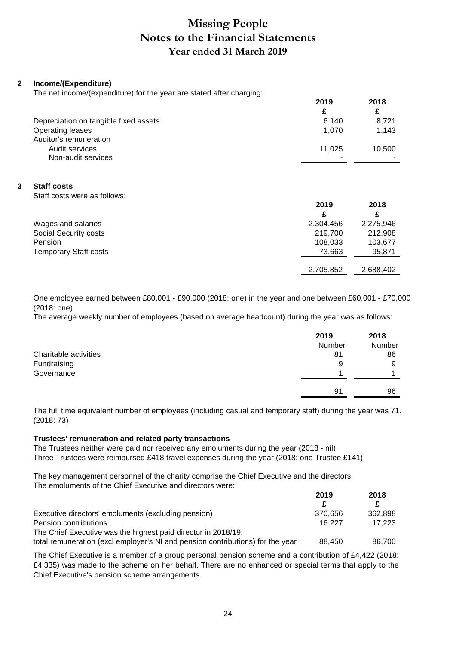#### **2 Income/(Expenditure)**

The net income/(expenditure) for the year are stated after charging:

|                                       | 2019   | 2018   |
|---------------------------------------|--------|--------|
|                                       |        | £      |
| Depreciation on tangible fixed assets | 6.140  | 8.721  |
| <b>Operating leases</b>               | 1.070  | 1,143  |
| Auditor's remuneration                |        |        |
| Audit services                        | 11.025 | 10,500 |
| Non-audit services                    | -      |        |

#### **3 Staff costs**

Staff costs were as follows:

|                              | 2019      | 2018      |
|------------------------------|-----------|-----------|
|                              |           | £         |
| Wages and salaries           | 2,304,456 | 2,275,946 |
| Social Security costs        | 219,700   | 212,908   |
| Pension                      | 108,033   | 103,677   |
| <b>Temporary Staff costs</b> | 73.663    | 95,871    |
|                              |           |           |
|                              | 2,705,852 | 2,688,402 |

One employee earned between £80,001 - £90,000 (2018: one) in the year and one between £60,001 - £70,000 (2018: one).

The average weekly number of employees (based on average headcount) during the year was as follows:

|                       | 2019   | 2018   |
|-----------------------|--------|--------|
|                       | Number | Number |
| Charitable activities | 81     | 86     |
| Fundraising           | 9      | 9      |
| Governance            |        |        |
|                       | 91     | 96     |
|                       |        |        |

The full time equivalent number of employees (including casual and temporary staff) during the year was 71. (2018: 73)

#### **Trustees' remuneration and related party transactions**

The Trustees neither were paid nor received any emoluments during the year (2018 - nil). Three Trustees were reimbursed £418 travel expenses during the year (2018: one Trustee £141).

The key management personnel of the charity comprise the Chief Executive and the directors. The emoluments of the Chief Executive and directors were:

|                                                                                | 2019    | 2018    |
|--------------------------------------------------------------------------------|---------|---------|
|                                                                                |         |         |
| Executive directors' emoluments (excluding pension)                            | 370.656 | 362.898 |
| Pension contributions                                                          | 16.227  | 17.223  |
| The Chief Executive was the highest paid director in 2018/19;                  |         |         |
| total remuneration (excl employer's NI and pension contributions) for the year | 88.450  | 86.700  |

The Chief Executive is a member of a group personal pension scheme and a contribution of £4,422 (2018: £4,335) was made to the scheme on her behalf. There are no enhanced or special terms that apply to the Chief Executive's pension scheme arrangements.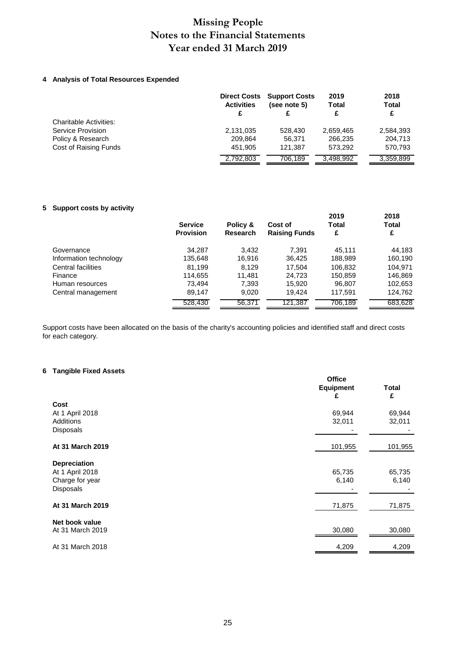#### **4 Analysis of Total Resources Expended**

|                               | <b>Direct Costs</b><br><b>Activities</b><br>£ | <b>Support Costs</b><br>(see note 5) | 2019<br><b>Total</b> | 2018<br><b>Total</b><br>£ |
|-------------------------------|-----------------------------------------------|--------------------------------------|----------------------|---------------------------|
| <b>Charitable Activities:</b> |                                               |                                      |                      |                           |
| Service Provision             | 2,131,035                                     | 528,430                              | 2,659,465            | 2,584,393                 |
| Policy & Research             | 209.864                                       | 56.371                               | 266.235              | 204,713                   |
| Cost of Raising Funds         | 451.905                                       | 121.387                              | 573.292              | 570.793                   |
|                               | 2,792,803                                     | 706,189                              | 3,498,992            | 3,359,899                 |

#### **5 Support costs by activity**

|                        | <b>Service</b><br><b>Provision</b> | Policy &<br><b>Research</b> | Cost of<br><b>Raising Funds</b> | 2019<br><b>Total</b><br>£ | 2018<br>Total<br>£ |
|------------------------|------------------------------------|-----------------------------|---------------------------------|---------------------------|--------------------|
| Governance             | 34,287                             | 3,432                       | 7.391                           | 45.111                    | 44,183             |
| Information technology | 135,648                            | 16,916                      | 36,425                          | 188,989                   | 160,190            |
| Central facilities     | 81.199                             | 8.129                       | 17.504                          | 106,832                   | 104.971            |
| Finance                | 114,655                            | 11.481                      | 24.723                          | 150,859                   | 146,869            |
| Human resources        | 73.494                             | 7,393                       | 15,920                          | 96,807                    | 102,653            |
| Central management     | 89.147                             | 9.020                       | 19.424                          | 117,591                   | 124,762            |
|                        | 528,430                            | 56,371                      | 121,387                         | 706.189                   | 683.628            |

Support costs have been allocated on the basis of the charity's accounting policies and identified staff and direct costs for each category.

#### **6 Tangible Fixed Assets**

|                     | <b>Office</b><br><b>Equipment</b><br>£ | <b>Total</b><br>£ |
|---------------------|----------------------------------------|-------------------|
| Cost                |                                        |                   |
| At 1 April 2018     | 69,944                                 | 69,944            |
| Additions           | 32,011                                 | 32,011            |
| Disposals           |                                        |                   |
| At 31 March 2019    | 101,955                                | 101,955           |
| <b>Depreciation</b> |                                        |                   |
| At 1 April 2018     | 65,735                                 | 65,735            |
| Charge for year     | 6,140                                  | 6,140             |
| Disposals           |                                        |                   |
| At 31 March 2019    | 71,875                                 | 71,875            |
| Net book value      |                                        |                   |
| At 31 March 2019    | 30,080                                 | 30,080            |
| At 31 March 2018    | 4,209                                  | 4,209             |
|                     |                                        |                   |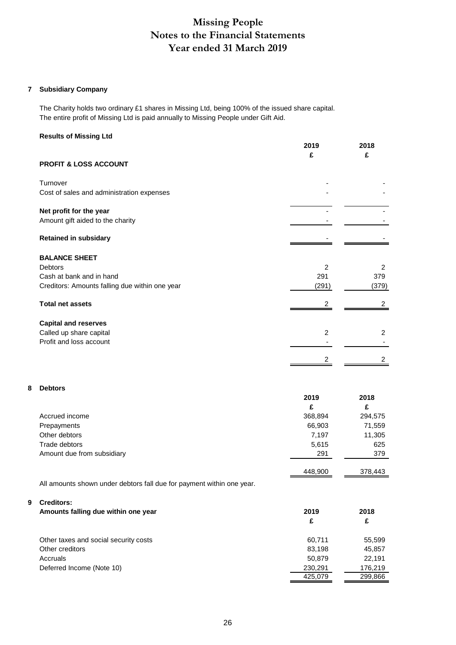#### **7 Subsidiary Company**

The Charity holds two ordinary £1 shares in Missing Ltd, being 100% of the issued share capital. The entire profit of Missing Ltd is paid annually to Missing People under Gift Aid.

#### **Results of Missing Ltd**

| 2019  | 2018  |
|-------|-------|
|       | £     |
|       |       |
|       |       |
|       |       |
|       |       |
|       |       |
|       |       |
| 2     | 2     |
| 291   | 379   |
| (291) | (379) |
| 2     | 2     |
|       |       |
| 2     | 2     |
|       |       |
|       |       |
|       | £     |

#### **8 Debtors**

|                            | 2019    | 2018    |
|----------------------------|---------|---------|
|                            | £       | £       |
| Accrued income             | 368,894 | 294,575 |
| Prepayments                | 66,903  | 71,559  |
| Other debtors              | 7,197   | 11,305  |
| Trade debtors              | 5,615   | 625     |
| Amount due from subsidiary | 291     | 379     |
|                            | 448.900 | 378,443 |

All amounts shown under debtors fall due for payment within one year.

#### **9 Creditors:**

| Amounts falling due within one year   | 2019    | 2018    |  |
|---------------------------------------|---------|---------|--|
|                                       | £       | £       |  |
| Other taxes and social security costs | 60.711  | 55,599  |  |
| Other creditors                       | 83,198  | 45,857  |  |
| Accruals                              | 50.879  | 22.191  |  |
| Deferred Income (Note 10)             | 230,291 | 176,219 |  |
|                                       | 425,079 | 299,866 |  |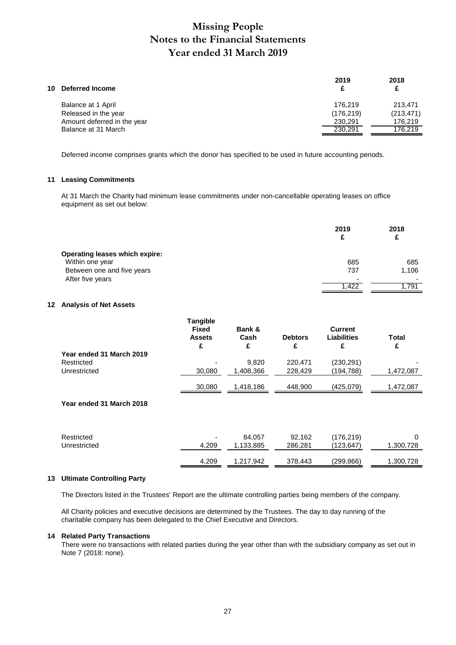| 10 Deferred Income          | 2019       | 2018<br>£  |
|-----------------------------|------------|------------|
| Balance at 1 April          | 176.219    | 213.471    |
| Released in the year        | (176, 219) | (213, 471) |
| Amount deferred in the year | 230.291    | 176.219    |
| Balance at 31 March         | 230.291    | 176.219    |
|                             |            |            |

Deferred income comprises grants which the donor has specified to be used in future accounting periods.

#### **11 Leasing Commitments**

At 31 March the Charity had minimum lease commitments under non-cancellable operating leases on office equipment as set out below:

|                                       | 2019<br>£ | 2018                     |
|---------------------------------------|-----------|--------------------------|
| <b>Operating leases which expire:</b> |           |                          |
| Within one year                       | 685       | 685                      |
| Between one and five years            | 737       | 1,106                    |
| After five years                      | -         | $\overline{\phantom{0}}$ |
|                                       | 1,422     | 1,791                    |

#### **12 Analysis of Net Assets**

|                          | <b>Tangible</b><br><b>Fixed</b><br><b>Assets</b><br>£ | Bank &<br>Cash<br>£ | <b>Debtors</b><br>£ | <b>Current</b><br>Liabilities<br>£ | Total<br>£ |
|--------------------------|-------------------------------------------------------|---------------------|---------------------|------------------------------------|------------|
| Year ended 31 March 2019 |                                                       |                     |                     |                                    |            |
| Restricted               |                                                       | 9,820               | 220,471             | (230, 291)                         |            |
| Unrestricted             | 30,080                                                | 1,408,366           | 228,429             | (194, 788)                         | 1,472,087  |
|                          | 30,080                                                | 1,418,186           | 448,900             | (425,079)                          | 1,472,087  |
| Year ended 31 March 2018 |                                                       |                     |                     |                                    |            |
| Restricted               |                                                       | 84,057              | 92,162              | (176, 219)                         | $\Omega$   |
| Unrestricted             | 4,209                                                 | 1,133,885           | 286,281             | (123,647)                          | 1,300,728  |
|                          | 4.209                                                 | 1.217.942           | 378.443             | (299,866)                          | 1,300,728  |

#### **13 Ultimate Controlling Party**

The Directors listed in the Trustees' Report are the ultimate controlling parties being members of the company.

All Charity policies and executive decisions are determined by the Trustees. The day to day running of the charitable company has been delegated to the Chief Executive and Directors.

#### **14 Related Party Transactions**

There were no transactions with related parties during the year other than with the subsidiary company as set out in Note 7 (2018: none).